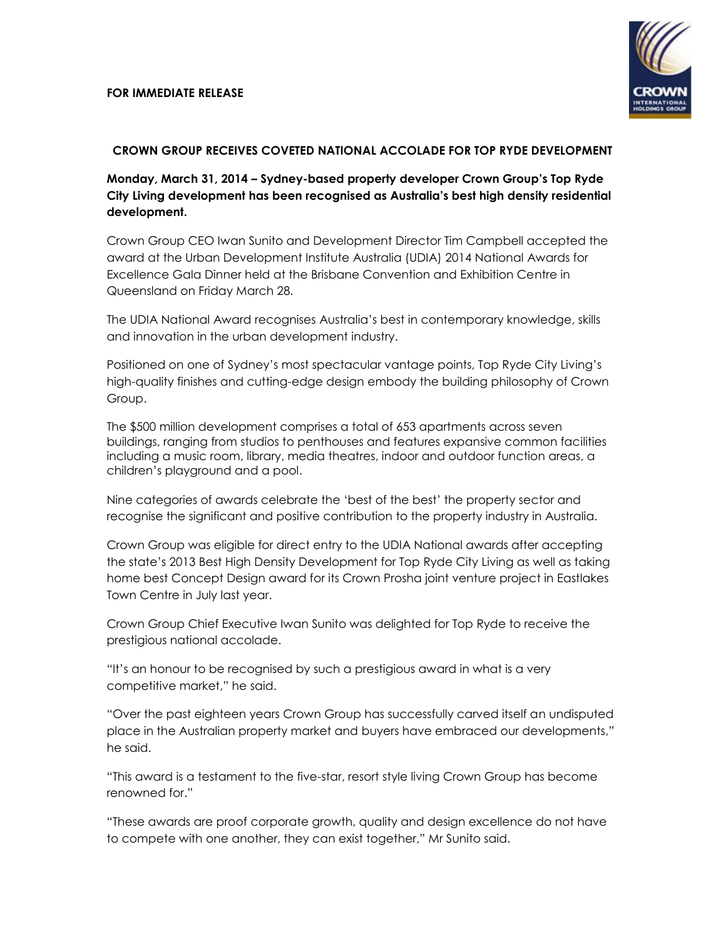

## **CROWN GROUP RECEIVES COVETED NATIONAL ACCOLADE FOR TOP RYDE DEVELOPMENT**

## **Monday, March 31, 2014 – Sydney-based property developer Crown Group's Top Ryde City Living development has been recognised as Australia's best high density residential development.**

Crown Group CEO Iwan Sunito and Development Director Tim Campbell accepted the award at the Urban Development Institute Australia (UDIA) 2014 National Awards for Excellence Gala Dinner held at the Brisbane Convention and Exhibition Centre in Queensland on Friday March 28.

The UDIA National Award recognises Australia's best in contemporary knowledge, skills and innovation in the urban development industry.

Positioned on one of Sydney's most spectacular vantage points, Top Ryde City Living's high-quality finishes and cutting-edge design embody the building philosophy of Crown Group.

The \$500 million development comprises a total of 653 apartments across seven buildings, ranging from studios to penthouses and features expansive common facilities including a music room, library, media theatres, indoor and outdoor function areas, a children's playground and a pool.

Nine categories of awards celebrate the 'best of the best' the property sector and recognise the significant and positive contribution to the property industry in Australia.

Crown Group was eligible for direct entry to the UDIA National awards after accepting the state's 2013 Best High Density Development for Top Ryde City Living as well as taking home best Concept Design award for its Crown Prosha joint venture project in Eastlakes Town Centre in July last year.

Crown Group Chief Executive Iwan Sunito was delighted for Top Ryde to receive the prestigious national accolade.

"It's an honour to be recognised by such a prestigious award in what is a very competitive market," he said.

"Over the past eighteen years Crown Group has successfully carved itself an undisputed place in the Australian property market and buyers have embraced our developments," he said.

"This award is a testament to the five-star, resort style living Crown Group has become renowned for."

"These awards are proof corporate growth, quality and design excellence do not have to compete with one another, they can exist together," Mr Sunito said.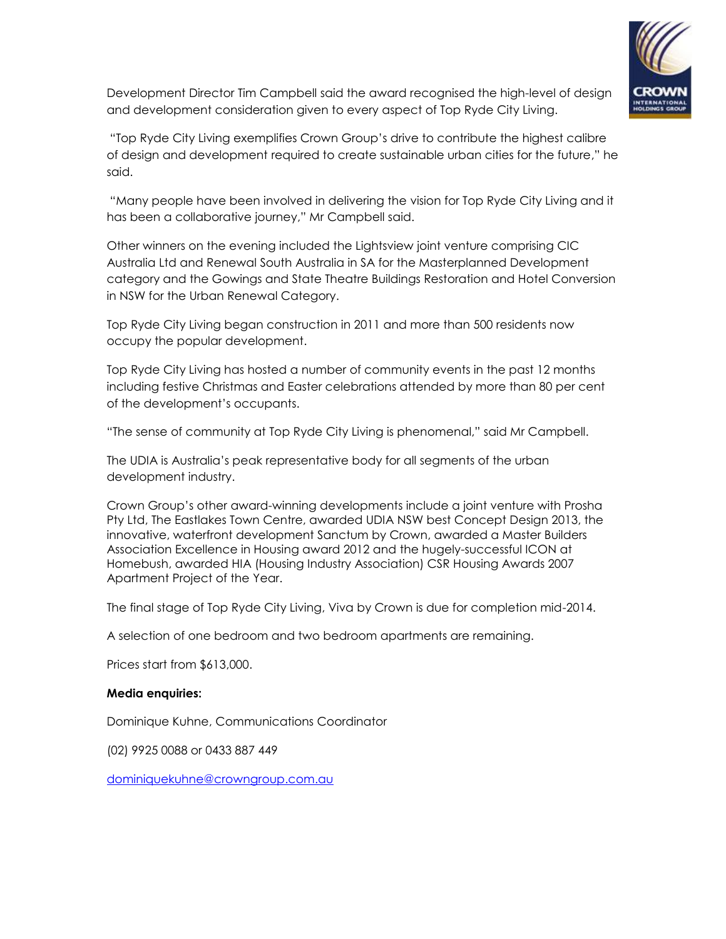

Development Director Tim Campbell said the award recognised the high-level of design and development consideration given to every aspect of Top Ryde City Living.

"Top Ryde City Living exemplifies Crown Group's drive to contribute the highest calibre of design and development required to create sustainable urban cities for the future," he said.

"Many people have been involved in delivering the vision for Top Ryde City Living and it has been a collaborative journey," Mr Campbell said.

Other winners on the evening included the Lightsview joint venture comprising CIC Australia Ltd and Renewal South Australia in SA for the Masterplanned Development category and the Gowings and State Theatre Buildings Restoration and Hotel Conversion in NSW for the Urban Renewal Category.

Top Ryde City Living began construction in 2011 and more than 500 residents now occupy the popular development.

Top Ryde City Living has hosted a number of community events in the past 12 months including festive Christmas and Easter celebrations attended by more than 80 per cent of the development's occupants.

"The sense of community at Top Ryde City Living is phenomenal," said Mr Campbell.

The UDIA is Australia's peak representative body for all segments of the urban development industry.

Crown Group's other award-winning developments include a joint venture with Prosha Pty Ltd, The Eastlakes Town Centre, awarded UDIA NSW best Concept Design 2013, the innovative, waterfront development Sanctum by Crown, awarded a Master Builders Association Excellence in Housing award 2012 and the hugely-successful ICON at Homebush, awarded HIA (Housing Industry Association) CSR Housing Awards 2007 Apartment Project of the Year.

The final stage of Top Ryde City Living, Viva by Crown is due for completion mid-2014.

A selection of one bedroom and two bedroom apartments are remaining.

Prices start from \$613,000.

## **Media enquiries:**

Dominique Kuhne, Communications Coordinator

(02) 9925 0088 or 0433 887 449

[dominiquekuhne@crowngroup.com.au](mailto:dominiquekuhne@crowngroup.com.au)